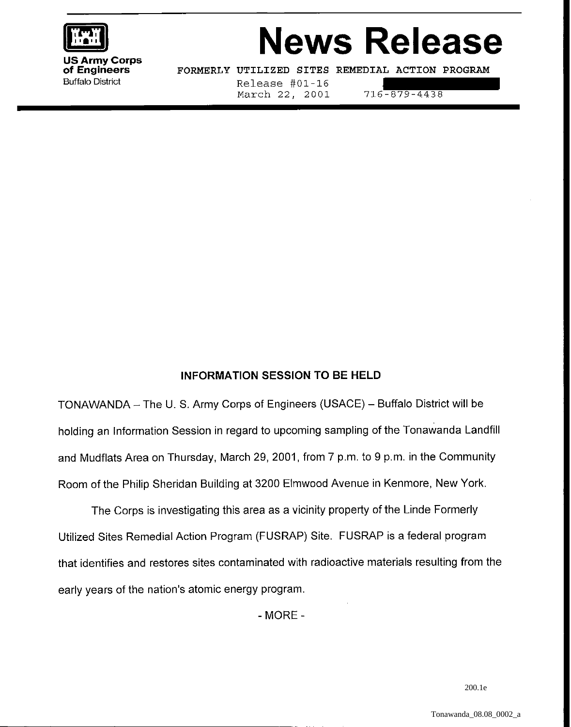

# **News Release**

US Army Corps<br>of Engineers

**of Engineers - FORMERLY UTILIZED SITES REMEDIAL ACTION PROGRAM Buffalo District** 

Release #01-16 March 22, 2001 716-879-4438

## INFORMATION SESSION TO BE HELD

TONAWANDA - The U. S. Army Corps of Engineers (USACE) - Buffalo District will be holding an Information Session in regard to upcoming sampling of the Tonawanda Landfill and Mudflats Area on Thursday, March 29, 2001, from 7 p.m. to 9 p.m. in the Community Room of the Philip Sheridan Building at 3200 Elmwood Avenue in Kenmore, New York.

The Corps is investigating this area as a vicinity property of the Linde Formerly Utilized Sites Remedial Action Program (FUSRAP) Site. FUSRAP is a federal program that identifies and restores sites contaminated with radioactive materials resulting from the early years of the nation's atomic energy program.

- MORE -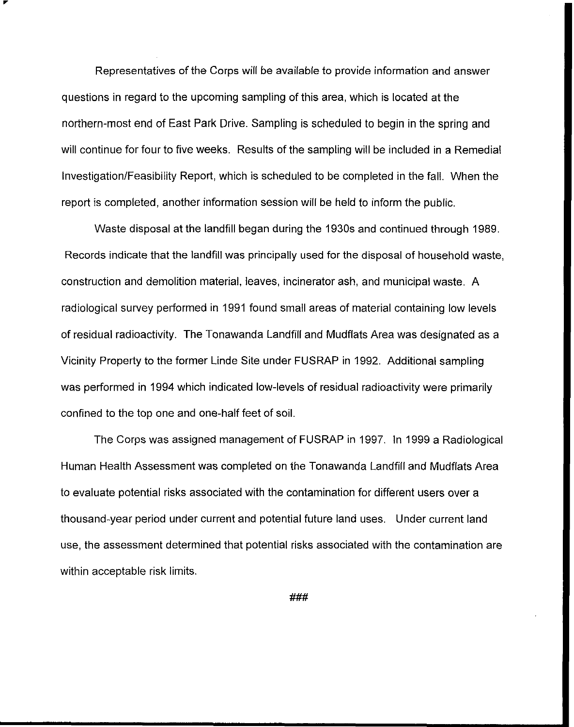Representatives of the Corps will be available to provide information and answer questions in regard to the upcoming sampling of this area, which is located at the northern-most end of East Park Drive. Sampling is scheduled to begin in the spring and will continue for four to five weeks. Results of the sampling will be included in a Remedial Investigation/Feasibility Report, which is scheduled to be completed in the fall. When the report is completed, another information session will be held to inform the public.

Waste disposal at the landfill began during the 1930s and continued through 1989. Records indicate that the landfill was principally used for the disposal of household waste, construction and demolition material, leaves, incinerator ash, and municipal waste. A radiological survey performed in 1991 found small areas of material containing low levels of residual radioactivity. The Tonawanda Landfill and Mudflats Area was designated as a Vicinity Property to the former Linde Site under FUSRAP in 1992. Additional sampling was performed in 1994 which indicated low-levels of residual radioactivity were primarily confined to the top one and one-half feet of soil.

The Corps was assigned management of FUSRAP in 1997. In 1999 a Radiological Human Health Assessment was completed on the Tonawanda Landfill and Mudflats Area to evaluate potential risks associated with the contamination for different users over a thousand-year period under current and potential future land uses. Under current land use, the assessment determined that potential risks associated with the contamination are within acceptable risk limits.

###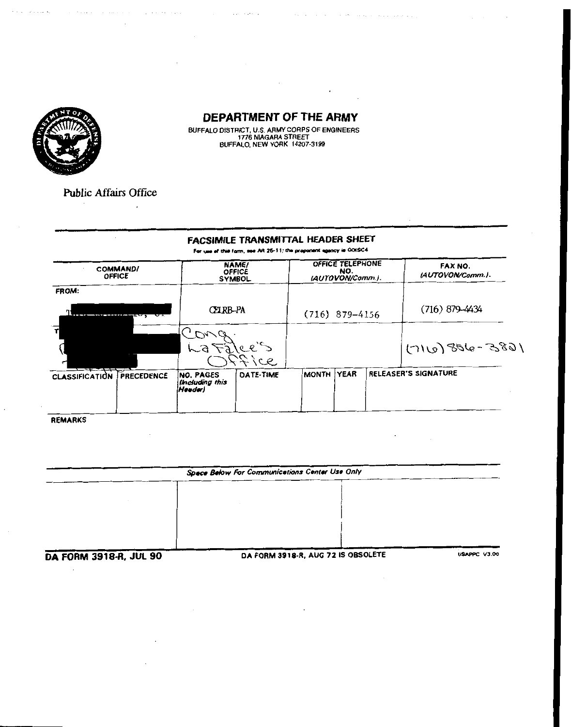

الرائدة المتعرف والمقارب والمحا

 $\mathcal{A}$ 

 $\mathcal{L}_{\mathcal{A}}$ 

BUFFALO DISTRICT, U.S. ARMY CORPS OF ENGINEERS<br>1776 NIAGARA STREET<br>BUFFALO, NEW YORK 14207-3199

الأوالمعونة المرتبة

**Public Affairs Office** 

 $\ddot{\phantom{a}}$ 

# **FACSIMILE TRANSMITTAL HEADER SHEET**

For use of this form, see AR 25-11; the proponent agency is ODISC4

| <b>COMMAND/</b><br><b>OFFICE</b>           |                                                      | NAME/<br><b>OFFICE</b><br><b>SYMBOL</b> |                  | OFFICE TELEPHONE<br>NO.<br>(AUTOVON/Comm.). | FAX NO.<br>(AUTOVON/Comm.). |
|--------------------------------------------|------------------------------------------------------|-----------------------------------------|------------------|---------------------------------------------|-----------------------------|
| FROM:                                      |                                                      |                                         |                  |                                             |                             |
| ---------------------<br>┅                 | CELRB-PA                                             |                                         | $(716)$ 879-4156 |                                             | $(716)$ 879-4434            |
|                                            | LaFalce's                                            |                                         |                  |                                             | $1685 - 988$ (011)          |
| <b>PRECEDENCE</b><br><b>CLASSIFICATION</b> | <b>NO. PAGES</b><br><b>Including this</b><br> Heeder | $\infty$<br>DATE-TIME                   | MONTH YEAR       |                                             | RELEASER'S SIGNATURE        |

**REMARKS** 

| Space Below For Communications Center Use Only |  |
|------------------------------------------------|--|
|                                                |  |
|                                                |  |
|                                                |  |
|                                                |  |
|                                                |  |

**DA FORM 3918-R, JUL 90** 

DA FORM 3918-R, AUG 72 IS OBSOLETE

**USAPPC V3.00**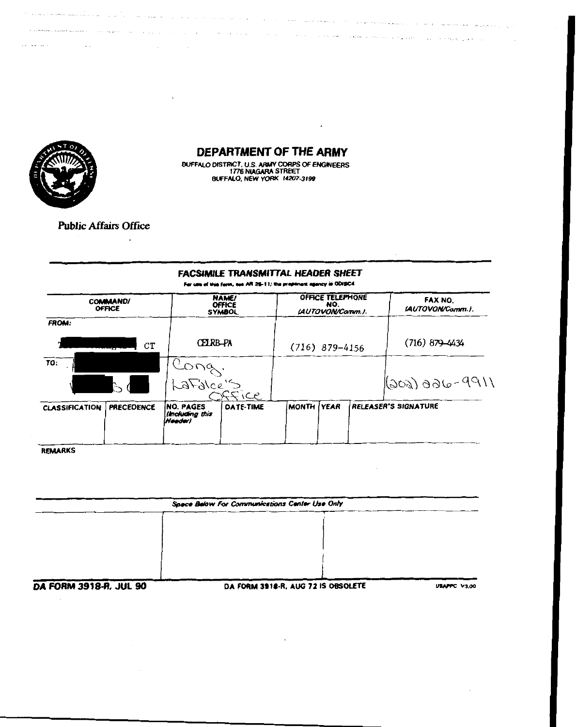

.<br>Saad minimus saakeessa muutaa kansa siisi siisi siisi saakeessa

 $\sim 10^{-1}$ 

 $12.42 \times 10^{-1}$ 

## **DEPARTMENT OF THE ARMY**

 $\cdot$ 

الرابيان والمتعرض والمعتر والمواقع العالمي والمتحدة والمعتقدة والمتحدة والمنابي المتحدة والمعاقدة والمتماز والمتحدة

المستخدم والمربعة المستخدم الموارد العواقلية المستخدم المستخدم المعاقلة المتحدة المتحدة المستخدم المستخدمات

a kara na mana ya matsa

 $\mathcal{L}^{\text{max}}$ 

l.

 $\sim 10$ 

**Carl Carl Carl** 

BUFFALO DISTRICT, U.S. ARMY CORPS OF ENGINEERS<br>1776 NIAGARA STREET<br>BUFFALO, NEW YORK 14207-3199

#### **Public Affairs Office**

 $\mathbb{R}^2$ 

#### **FACSIMILE TRANSMITTAL HEADER SHEET**

For use of this form, ess AR 26-11; the propenent agency is ODISC4.

|                   |                                                          |           |                                                                                         | NO. |              | FAX NO.<br>(AUTOVON/Comm.).                              |
|-------------------|----------------------------------------------------------|-----------|-----------------------------------------------------------------------------------------|-----|--------------|----------------------------------------------------------|
|                   |                                                          |           |                                                                                         |     |              |                                                          |
| CT                |                                                          |           |                                                                                         |     |              | $(716) 879 - 4434$                                       |
|                   |                                                          |           |                                                                                         |     |              |                                                          |
|                   |                                                          |           |                                                                                         |     |              | $1003)$ ado-9911                                         |
| <b>PRECEDENCE</b> | <b>INO. PAGES</b><br>(Including this<br> H <b>oede</b> r | DATE-TIME |                                                                                         |     |              | <b>RELEASER'S SIGNATURE</b>                              |
|                   | <b>COMMAND/</b><br><b>OFFICE</b>                         |           | <b>NAME/</b><br><b>OFFICE</b><br><b>SYMBOL</b><br><b>CELRB-PA</b><br>LaFalce's<br>crice |     | MONTH   YEAR | OFFICE TELEPHONE<br>LAUTOVON/Comm.).<br>$(716)$ 879-4156 |

**REMARKS** 

| Space Below For Communications Center Use Only |  |  |  |  |  |  |
|------------------------------------------------|--|--|--|--|--|--|
|                                                |  |  |  |  |  |  |
|                                                |  |  |  |  |  |  |
|                                                |  |  |  |  |  |  |
|                                                |  |  |  |  |  |  |
|                                                |  |  |  |  |  |  |

**DA FORM 3918-R, JUL 90** 

DA FORM 3918-R, AUG 72 IS OBSOLETE

**USAPPC V3.00**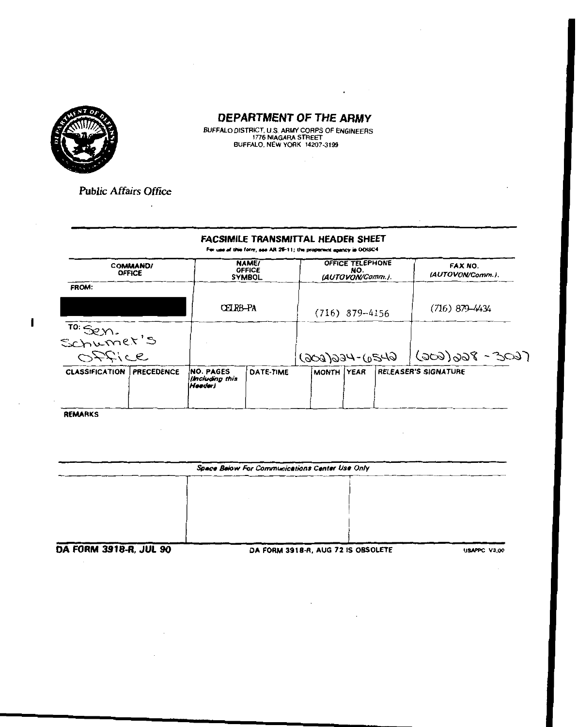

**Carl Corporation** 

BUFFALO DISTRICT, U.S. ARMY CORPS OF ENGINEERS<br>1776 NIAGARA STREET<br>BUFFALO, NEW YORK 14207-3199

**Public Affairs Office** 

 $\overline{a}$ 

 $\sim$ 

 $\sim$ 

#### FACSIMILE TRANSMITTAL HEADER SHEET

For use of this form, see AR 26-11; the proponent agency is ODISC4

|                                  | <b>COMMAND/</b><br><b>OFFICE</b> |                                               | NAME/<br>OFFICE<br><b>SYMBOL</b> |  | OFFICE TELEPHONE<br>NO.<br>(AUTOVON/Comm.). | FAX NO.<br>(AUTOVON/Comm.). |
|----------------------------------|----------------------------------|-----------------------------------------------|----------------------------------|--|---------------------------------------------|-----------------------------|
| FROM:                            |                                  |                                               |                                  |  |                                             |                             |
|                                  |                                  | <b>CELRB-PA</b>                               |                                  |  | $(716)$ 879-4156                            | (716) 879–4434              |
| <sup>TO:</sup> Sen.<br>Schumer's |                                  |                                               |                                  |  |                                             |                             |
| Office                           |                                  |                                               |                                  |  | $6420 - 466(606)$                           | $(909)998 - 309)$           |
| <b>CLASSIFICATION</b>            | <b>PRECEDENCE</b>                | <b>NO. PAGES</b><br>Including this<br> Høedør | <b>DATE-TIME</b>                 |  | MONTH YEAR                                  | <b>RELEASER'S SIGNATURE</b> |

REMARKS

÷.

|                          | Space Below For Communications Center Use Only |  |  |  |  |  |
|--------------------------|------------------------------------------------|--|--|--|--|--|
|                          |                                                |  |  |  |  |  |
|                          |                                                |  |  |  |  |  |
|                          |                                                |  |  |  |  |  |
|                          |                                                |  |  |  |  |  |
| 54 CADIJ 2010 D. IIII AA | BA CABLA BAAR B. AUG TO IC ODCOUTTE            |  |  |  |  |  |

DA FORM 3918-R, JUL 90

DA FORM 3918-R, AUG 72 IS OBSOLETE

 $\cdot$ 

C V3.00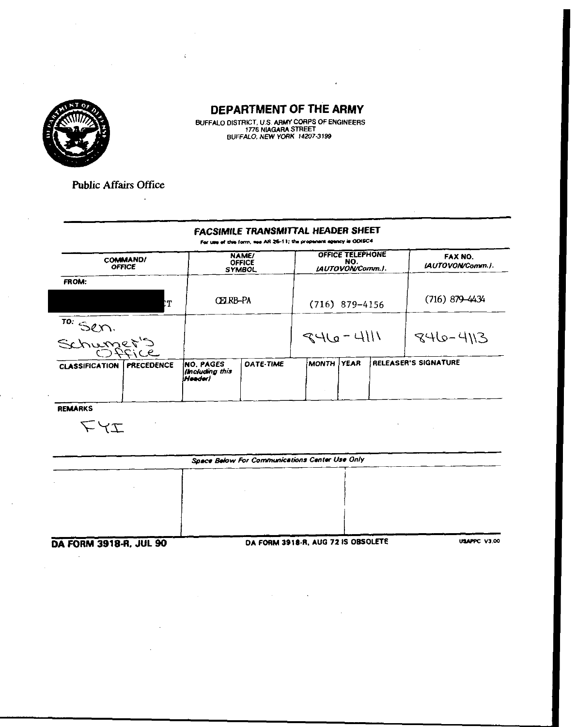

BUFFALO DISTRICT, U.S. ARMY CORPS OF ENGINEERS<br>1776 NIAGARA STREET<br>BUFFALO, NEW YORK 14207-3199

**Public Affairs Office** 

 $\ddot{\phantom{a}}$ 

#### **FACSIMILE TRANSMITTAL HEADER SHEET**

For use of this form, see AR 26-11; the proponent agency is ODISC4

| <b>OFFICE</b>         | <b>COMMAND/</b>   |                                            | <b>NAME/</b><br><b>OFFICE</b><br><b>SYMBOL</b> |              | OFFICE TELEPHONE<br>NO.<br>LAUTOVON/Comm.). | FAX NO.<br>(AUTOVON/Comm.). |
|-----------------------|-------------------|--------------------------------------------|------------------------------------------------|--------------|---------------------------------------------|-----------------------------|
| <b>FROM:</b>          |                   |                                            |                                                |              |                                             |                             |
|                       |                   | CEIRB-PA                                   |                                                |              | $(716)$ 879-4156                            | $(716)$ 879-4434            |
| TO: Sen.              |                   |                                            |                                                | $946 - 4111$ |                                             | $846 - 413$                 |
| <b>CLASSIFICATION</b> | <b>PRECEDENCE</b> | INO. PAGES<br>(Including this<br>irlaader) | <b>DATE-TIME</b>                               | IMONTH I     | <b>YEAR</b>                                 | RELEASER'S SIGNATURE        |

REMARKS

 $T\forall\mathcal{I}$ 

|                               | Space Below For Communications Center Use Only |              |  |  |  |  |
|-------------------------------|------------------------------------------------|--------------|--|--|--|--|
|                               |                                                |              |  |  |  |  |
|                               |                                                |              |  |  |  |  |
|                               |                                                |              |  |  |  |  |
|                               |                                                |              |  |  |  |  |
|                               |                                                |              |  |  |  |  |
| <b>DA CORA 2010 D. BR. 00</b> | DA CORM 3918-R. AUG 72 IS OBSOLETE             | USAPPC V3.00 |  |  |  |  |

DA FORM 3918-R, JUL 90

DA FORM 3918-R, AUG 7213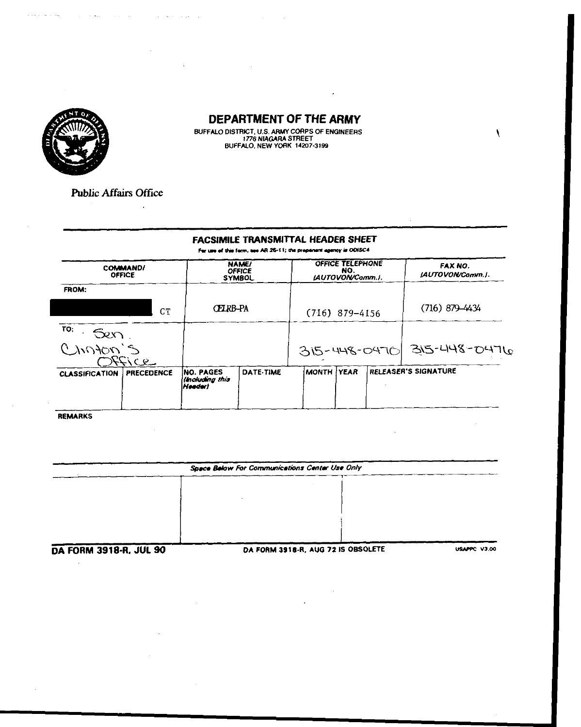

 $\hat{z}$  ,  $\hat{z}$  ,  $\hat{z}$  ,  $\hat{z}$  ,  $\hat{z}$  ,  $\hat{z}$  ,  $\hat{z}$ 

#### DEPARTMENT OF THE ARMY

BUFFALO DISTRICT, U.S. ARMY CORPS OF ENGINEERS<br>1776 NIAGARA STREET<br>BUFFALO, NEW YORK 14207-3199

**Public Affairs Office** 

 $\bar{z}$ 

المتواصل والمحاجبات

التواصل والمتعاطف والمتحدث

k.

 $\overline{\phantom{a}}$ 

#### **FACSIMILE TRANSMITTAL HEADER SHEET**

For use of this form, see AR 26-11; the propenent agency is ODISC4

|                         | <b>COMMAND/</b><br><b>OFFICE</b> |                                                 | <b>NAME/</b><br><b>OFFICE</b><br><b>SYMBOL</b> |            | OFFICE TELEPHONE<br>NO.<br>LAUTOVON/Comm.i. | FAX NO.<br><b>IAUTOVON/Comm.I.</b> |
|-------------------------|----------------------------------|-------------------------------------------------|------------------------------------------------|------------|---------------------------------------------|------------------------------------|
| FROM:                   | CТ                               | CELRB-PA                                        |                                                |            | $(716)$ 879-4156                            | $(716)$ 879-4434                   |
| TO:<br>Sen<br>Cinoton's | Office                           |                                                 |                                                |            |                                             | 315-448-0470 315-448-0476          |
| <b>CLASSIFICATION</b>   | <b>PRECEDENCE</b>                | <b>INO. PAGES</b><br>(Including this<br>Header) | DATE-TIME                                      | MONTH YEAR |                                             | RELEASER'S SIGNATURE               |

REMARKS

| Space Below For Communications Center Use Only |                                     |              |  |  |  |  |
|------------------------------------------------|-------------------------------------|--------------|--|--|--|--|
|                                                |                                     |              |  |  |  |  |
|                                                |                                     |              |  |  |  |  |
|                                                |                                     |              |  |  |  |  |
|                                                |                                     |              |  |  |  |  |
|                                                |                                     |              |  |  |  |  |
| DA EORM 2018.R. ILII 90                        | DA FORM 3918-R. AUG 72 IS ORSOLETE. | USAPPC V3.00 |  |  |  |  |

)A FORM 3918-H, JUL 90

 $\hat{\mathcal{A}}$ 

DA FORM 3918-R, AUG 72 IS OBSOL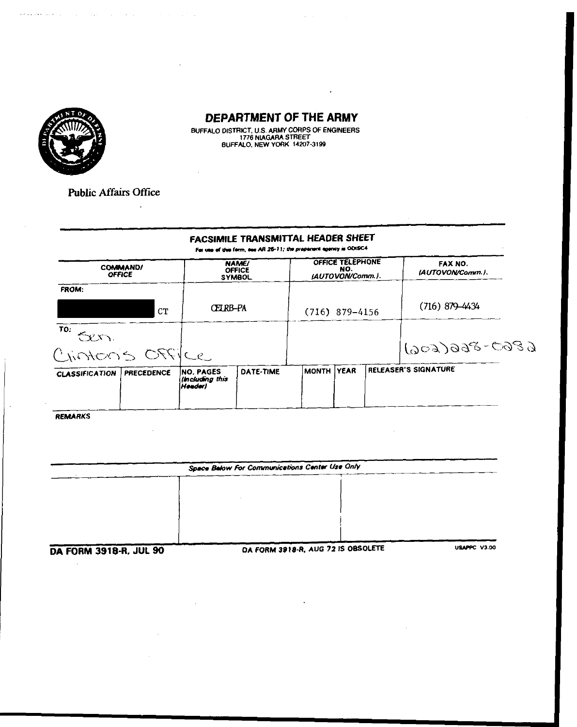

 $\mathcal{L}^{\mathcal{L}}(\mathbf{A})$  and  $\mathcal{L}^{\mathcal{L}}(\mathbf{A})$  and  $\mathcal{L}^{\mathcal{L}}(\mathbf{A})$ 

 $\overline{a}$ 

BUFFALO DISTRICT, U.S. ARMY CORPS OF ENGINEERS<br>1776 NIAGARA STREET<br>BUFFALO, NEW YORK 14207-3199

**Public Affairs Office** 

 $\mathbb{R}^2$ 

eksperimente de la production de la production de la production de la production  $\mathcal{E}^{\mathcal{A}}$ 

 $\overline{1}$ 

|                       |                                  |                                                | For use of this form, see AR 25-11; the proponent agency is ODISC4 |                                             |                  |  |                             |
|-----------------------|----------------------------------|------------------------------------------------|--------------------------------------------------------------------|---------------------------------------------|------------------|--|-----------------------------|
|                       | <b>COMMAND/</b><br><b>OFFICE</b> | <b>NAME/</b><br><b>OFFICE</b><br><b>SYMBOL</b> |                                                                    | OFFICE TELEPHONE<br>NO.<br>(AUTOVON/Comm.). |                  |  | FAX NO.<br>(AUTOVON/Comm.). |
| FROM:                 |                                  |                                                |                                                                    |                                             |                  |  |                             |
|                       | CT                               |                                                | CEI RB-PA                                                          |                                             | $(716)$ 879-4156 |  | $(716)$ 879-4434            |
| TO:<br>$\alpha$       |                                  |                                                |                                                                    |                                             |                  |  |                             |
| Cintons OFFICe        |                                  |                                                |                                                                    |                                             |                  |  | $68033008 - 0080$           |
| <b>CLASSIFICATION</b> | <b>PRECEDENCE</b>                | <b>INO. PAGES</b><br>Including this<br>Header) | DATE-TIME                                                          | <b>MONTH YEAR</b>                           |                  |  | RELEASER'S SIGNATURE        |

REMARKS

| Space Balow For Communications Center Use Only |                                   |              |  |  |  |  |
|------------------------------------------------|-----------------------------------|--------------|--|--|--|--|
|                                                |                                   |              |  |  |  |  |
|                                                |                                   |              |  |  |  |  |
|                                                |                                   |              |  |  |  |  |
|                                                |                                   |              |  |  |  |  |
|                                                |                                   |              |  |  |  |  |
| BA FORM 2010 B. ILH OO                         | DA CORA 2010.0 AUG 72 IS OBSOLETE | USAPPC V3.00 |  |  |  |  |

DA FORM 3918-R, JUL 90

 $\sim$ 

DA FORM 3918-R, AUG 72 IS OBSOLETE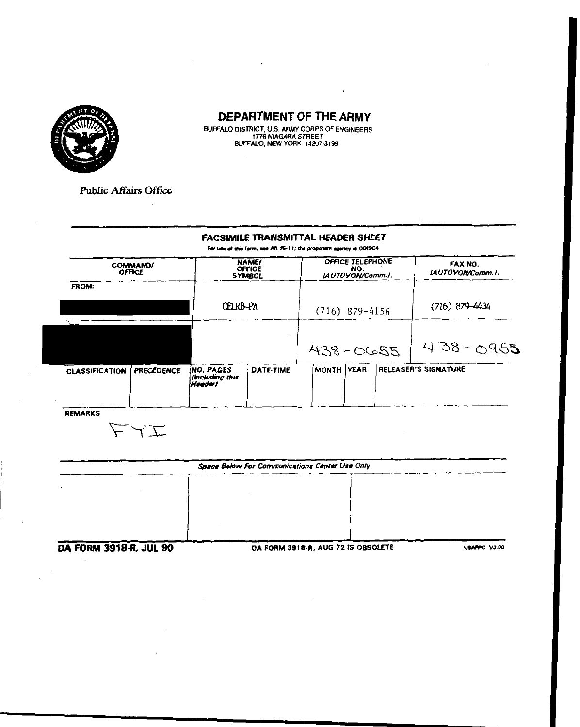

BUFFALO DISTRICT, U.S. ARMY CORPS OF ENGINEERS<br>1776 NIAGARA STREET<br>BUFFALO, NEW YORK 14207-3199

**Public Affairs Office** 

 $\ddot{\phantom{0}}$ 

#### **FACSIMILE TRANSMITTAL HEADER SHEET**

For use of this form, use AR 26-11; the proponent agency is ODISC4

| <b>NAME/</b><br><b>OFFICE</b><br><b>SYMBOL</b>  |           | OFFICE TELEPHONE<br>NO.<br>(AUTOVON/Comm.). |  |            | FAX NO.<br>(AUTOVON/Comm.).      |  |
|-------------------------------------------------|-----------|---------------------------------------------|--|------------|----------------------------------|--|
|                                                 |           |                                             |  |            |                                  |  |
|                                                 |           |                                             |  |            | $(716) 879 - 4434$               |  |
|                                                 |           |                                             |  |            |                                  |  |
|                                                 |           |                                             |  |            | $438 - 0955$                     |  |
| <b>INO. PAGES</b><br>lincluding this<br>Heeder) | DATE-TIME |                                             |  |            | <b>RELEASER'S SIGNATURE</b>      |  |
|                                                 |           | CELRB-PA                                    |  | MONTH YEAR | $(716)$ 879-4156<br>$7230 - 864$ |  |

REMARKS

たくエ

| Space Below For Communications Center Use Only |                                    |                     |  |  |  |
|------------------------------------------------|------------------------------------|---------------------|--|--|--|
|                                                |                                    |                     |  |  |  |
|                                                |                                    |                     |  |  |  |
|                                                |                                    |                     |  |  |  |
|                                                |                                    |                     |  |  |  |
|                                                |                                    |                     |  |  |  |
| DA FORM 3918-8 1111 90                         | DA FORM 3918-R. AUG 72 IS ORSOLETE | <b>USAMPC V3.00</b> |  |  |  |

OHM 3918-H, JUL 90

**DA FORM 3918-R, AUG**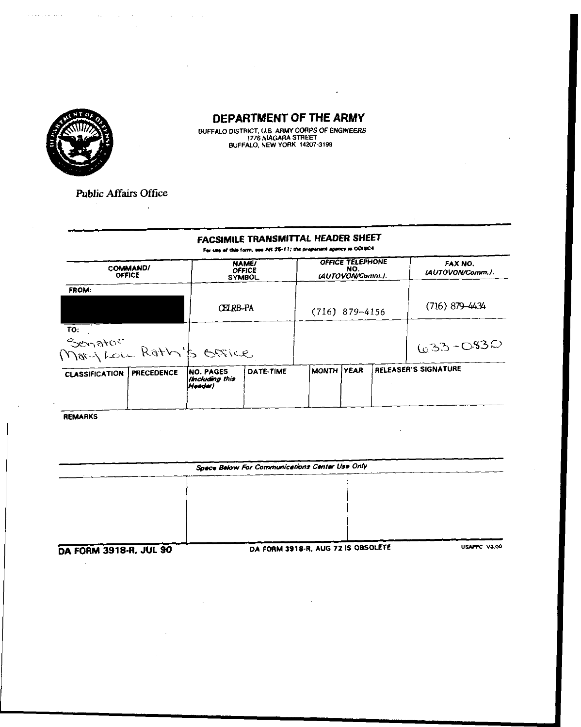

أأنتمذ فكالكباء

## DEPARTMENT OF THE ARMY

 $\cdot$ 

BUFFALO DISTRICT, U.S. ARMY CORPS OF ENGINEERS<br>1776 NIAGARA STREET<br>BUFFALO, NEW YORK 14207-3199

**Public Affairs Office** 

 $\mathcal{L}$ 

 $\mathcal{L}^{\text{max}}_{\text{max}}$  and  $\mathcal{L}^{\text{max}}_{\text{max}}$ 

 $\mathcal{L}^{\text{max}}_{\text{max}}$  and  $\mathcal{L}^{\text{max}}_{\text{max}}$ 

#### FACSIMILE TRANSMITTAL HEADER SHEET

For use of this form, see AR 25-11; the proponent agency is ODISC4

|                                                                      |           |                                                                                                  | NO. |            | FAX NO.<br>(AUTOVON/Comm.).                              |
|----------------------------------------------------------------------|-----------|--------------------------------------------------------------------------------------------------|-----|------------|----------------------------------------------------------|
|                                                                      |           |                                                                                                  |     |            |                                                          |
|                                                                      |           |                                                                                                  |     |            | $(716)$ 879-4434                                         |
|                                                                      |           |                                                                                                  |     |            |                                                          |
|                                                                      |           |                                                                                                  |     |            | $(633 - 083)$                                            |
| <b>INO. PAGES</b><br><b>PRECEDENCE</b><br>(Including this<br>Meeder) | DATE-TIME |                                                                                                  |     |            | RELEASER'S SIGNATURE                                     |
|                                                                      |           | <b>NAME/</b><br><b>OFFICE</b><br><b>SYMBOL</b><br>CELRB-PA<br>Senator<br>Mary Low Rathy's Office |     | MONTH YEAR | OFFICE TELEPHONE<br>(AUTOVON/Comm.).<br>$(716)$ 879-4156 |

REMARKS

 $\hat{\mathcal{A}}$ 

|                               | Space Below For Communications Center Use Only |              |  |  |  |
|-------------------------------|------------------------------------------------|--------------|--|--|--|
|                               |                                                |              |  |  |  |
|                               |                                                |              |  |  |  |
|                               |                                                |              |  |  |  |
|                               |                                                |              |  |  |  |
|                               |                                                |              |  |  |  |
| <b>DA EODM 3018-8 1111 90</b> | DA FORM 3918-R. AUG 72 IS OBSOLETE             | USAPPC V3.00 |  |  |  |

)A FORM 3918-K, JUL 90

DA FORM 3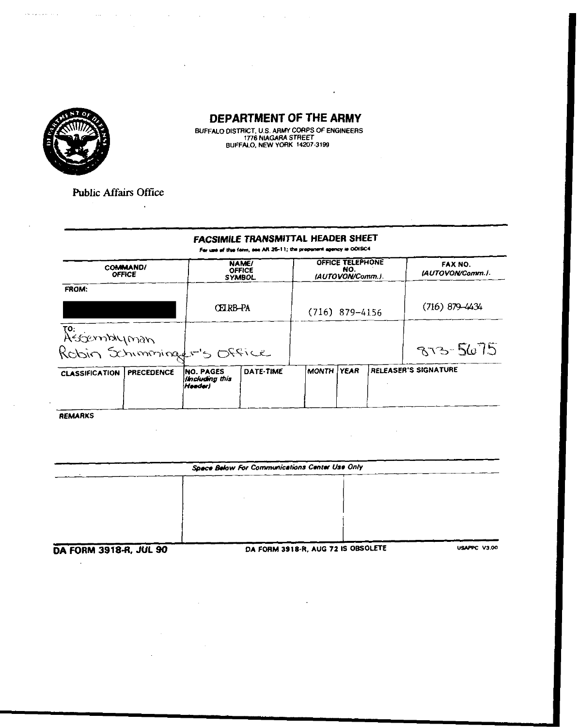

 $\bar{\beta}$  consider the  $\bar{\beta}$ 

## DEPARTMENT OF THE ARMY

 $\epsilon$ 

BUFFALO DISTRICT, U.S. ARMY CORPS OF ENGINEERS<br>1776 NIAGARA STREET<br>BUFFALO, NEW YORK 14207-3199

 $\mathcal{L}^{\mathcal{L}}$  and the contribution of the contribution of the contribution of the contribution of the contribution of the contribution of the contribution of the contribution of the contribution of the contribution of t

 $\mathbb{R}^2$ 

**Public Affairs Office** 

 $\ddot{\phantom{a}}$ 

 $\sim 10^{11}$  and  $\sim 10^{11}$  and  $\sim 10^{11}$ 

## FACSIMILE TRANSMITTAL HEADER SHEET

Far use of this form, see AR 26-11; the proponent agency is ODISC4

|                                                   | <b>COMMAND/</b><br><b>OFFICE</b> |                                                 | <b>NAME/</b><br>OFFICE<br><b>SYMBOL</b> |              | <b>OFFICE TELEPHONE</b><br>NO.<br>(AUTOVON/Comm.). | FAX NO.<br><b>IAUTOVON/Comm.I.</b> |
|---------------------------------------------------|----------------------------------|-------------------------------------------------|-----------------------------------------|--------------|----------------------------------------------------|------------------------------------|
| FROM:                                             |                                  |                                                 |                                         |              |                                                    |                                    |
|                                                   |                                  | CELRB-PA                                        |                                         |              | $(716)$ 879-4156                                   | $(716) 879 - 4434$                 |
|                                                   |                                  |                                                 |                                         |              |                                                    |                                    |
| To:<br>Assemblyman<br>Robin Schimmingsfr's Office |                                  |                                                 |                                         |              |                                                    | 873-5675                           |
| <b>CLASSIFICATION</b>                             | <b>PRECEDENCE</b>                | <b>INO. PAGES</b><br>lincluding this<br>Headerl | DATE-TIME                               | <b>MONTH</b> | <b>YEAR</b>                                        | RELEASER'S SIGNATURE               |

REMARKS

J.

| Space Below For Communications Center Use Only |                                    |              |  |  |  |
|------------------------------------------------|------------------------------------|--------------|--|--|--|
|                                                |                                    |              |  |  |  |
|                                                |                                    |              |  |  |  |
|                                                |                                    |              |  |  |  |
|                                                |                                    |              |  |  |  |
|                                                |                                    |              |  |  |  |
| NA ENDIA 2018.R. HII 90                        | DA FORM 3918-R. AUG 72 IS OBSOLETE | USAPPC V3.00 |  |  |  |

I FORM 3918-H, JUL 90

÷.

DA FORM 3918-R, AU

 $\sim$   $\sim$ 

 $\sim 10$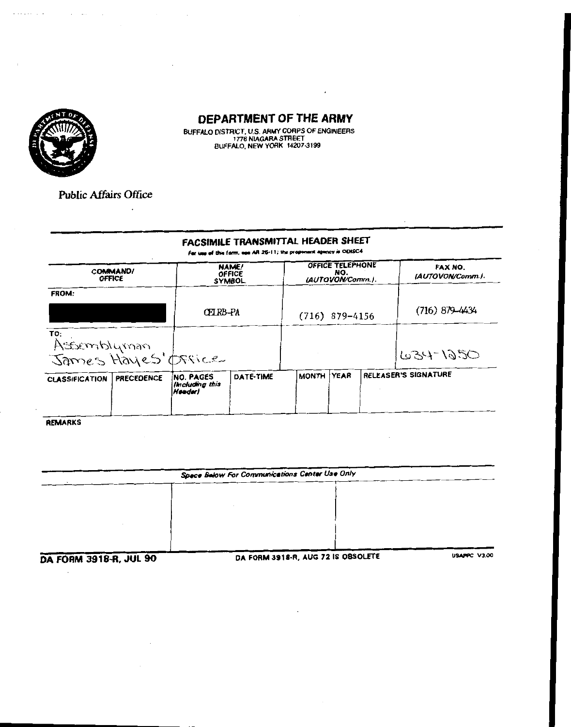

 $\alpha$  , and  $\alpha$  , and

 $\mathcal{A}^{\text{max}}_{\text{max}}$  and  $\mathcal{A}^{\text{max}}_{\text{max}}$ 

 $\bullet$  and  $\bullet$  . The set of  $\bullet$ 

## DEPARTMENT OF THE ARMY

BUFFALO DISTRICT, U.S. ARMY CORPS OF ENGINEERS<br>1776 NIAGARA STREET<br>BUFFALO, NEW YORK 14207-3199

**Public Affairs Office** 

 $\ddot{\phantom{a}}$ 

#### FACSIMILE TRANSMITTAL HEADER SHEET

For use of this form, see AR 26-11; the proponent agency is ODISC4

| <b>OFFICE</b>                             | <b>COMMAND/</b>   |                                               | <b>NAME/</b><br><b>OFFICE</b><br><b>SYMBOL</b> |            | OFFICE TELEPHONE<br>NO.<br>(AUTOVON/Comm.). | FAX NO.<br>(AUTOVON/Comm.). |
|-------------------------------------------|-------------------|-----------------------------------------------|------------------------------------------------|------------|---------------------------------------------|-----------------------------|
| FROM:                                     |                   |                                               |                                                |            |                                             |                             |
|                                           |                   | CEIRB-PA                                      |                                                |            | $(716)$ 879-4156                            | $(716)$ 879-4434            |
| TO:<br>Assemblyman<br>James Hayes' Office |                   |                                               |                                                |            |                                             | 634-1250                    |
| <b>CLASSIFICATION</b>                     | <b>PRECEDENCE</b> | <b>NO. PAGES</b><br>Including this<br> Heeder | DATE-TIME                                      | MONTH YEAR |                                             | RELEASER'S SIGNATURE        |

**REMARKS** 

| Space Balow For Communications Center Use Only |  |                        |  |  |  |
|------------------------------------------------|--|------------------------|--|--|--|
|                                                |  |                        |  |  |  |
|                                                |  |                        |  |  |  |
|                                                |  |                        |  |  |  |
|                                                |  |                        |  |  |  |
|                                                |  |                        |  |  |  |
| . <b>.</b>                                     |  | $11.00$ BA 18 ABOALETE |  |  |  |

**DA FORM 3918-R, JUL 90** 

DA FORM 3918-R, AUG 72 IS OBSOLETE

USAPPC V3.00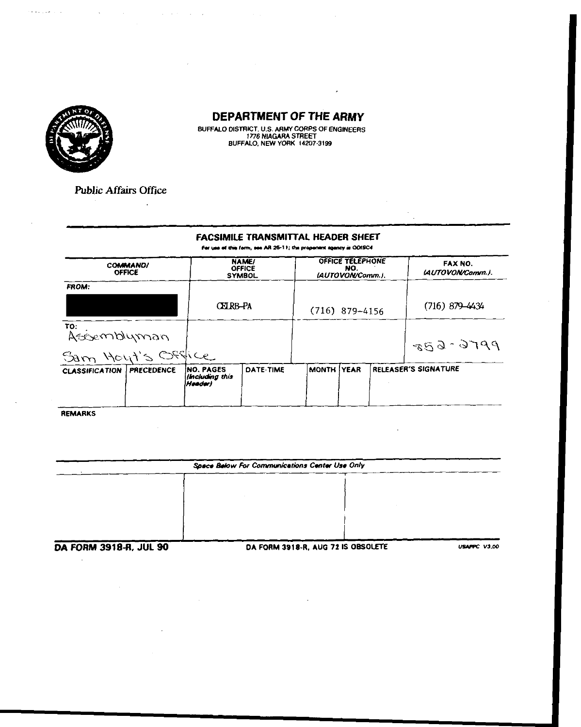

 $\epsilon$  , and a set  $\epsilon$  .

## **DEPARTMENT OF THE ARMY**

BUFFALO DISTRICT, U.S. ARMY CORPS OF ENGINEERS<br>1776 NIAGARA STREET<br>BUFFALO, NEW YORK 14207-3199

 $\mathcal{A}=\mathcal{A}(\mathcal{A})$  , and  $\mathcal{A}=\mathcal{A}(\mathcal{A})$  , and  $\mathcal{A}=\mathcal{A}(\mathcal{A})$ 

**Public Affairs Office** 

 $\hat{\mathbf{z}}$ 

#### FACSIMILE TRANSMITTAL HEADER SHEET

For use of this form, see AR 26-11; the propenent agency is ODISC4.

|                       | NAME/<br><b>COMMAND/</b><br><b>OFFICE</b><br><b>OFFICE</b><br><b>SYMBOL</b> |                                                |           | OFFICE TELEPHONE<br>NO.<br>(AUTOVON/Comm.). |             |  | FAX NO.<br>(AUTOVON/Comm.). |
|-----------------------|-----------------------------------------------------------------------------|------------------------------------------------|-----------|---------------------------------------------|-------------|--|-----------------------------|
| <b>FROM:</b>          |                                                                             |                                                |           |                                             |             |  |                             |
|                       |                                                                             | CEIRB-PA                                       |           | $(716)$ 879-4156                            |             |  | $(716)$ 879-4434            |
| ro:<br>Assemblyman    |                                                                             |                                                |           |                                             |             |  | $859 - 9100$                |
| Sam Hout's Office     |                                                                             |                                                |           |                                             |             |  |                             |
| <b>CLASSIFICATION</b> | <b>PRECEDENCE</b>                                                           | <b>NO. PAGES</b><br>(Including this<br>Header) | DATE-TIME | <b>MONTH</b>                                | <b>YEAR</b> |  | <b>RELEASER'S SIGNATURE</b> |

**REMARKS** 

 $\mathbb{R}^2$ 

| Space Below For Communications Center Use Only |                                    |                     |  |  |  |
|------------------------------------------------|------------------------------------|---------------------|--|--|--|
|                                                |                                    |                     |  |  |  |
|                                                |                                    |                     |  |  |  |
|                                                |                                    |                     |  |  |  |
|                                                |                                    |                     |  |  |  |
|                                                |                                    |                     |  |  |  |
| DA FORM 3918-R. JIH 90.                        | DA FORM 3918-R. AUG 72 IS OBSOLETE | <b>USAPPC V3.00</b> |  |  |  |

HM JJIB-H, JUL JU

UA FURM 3918-R, AUG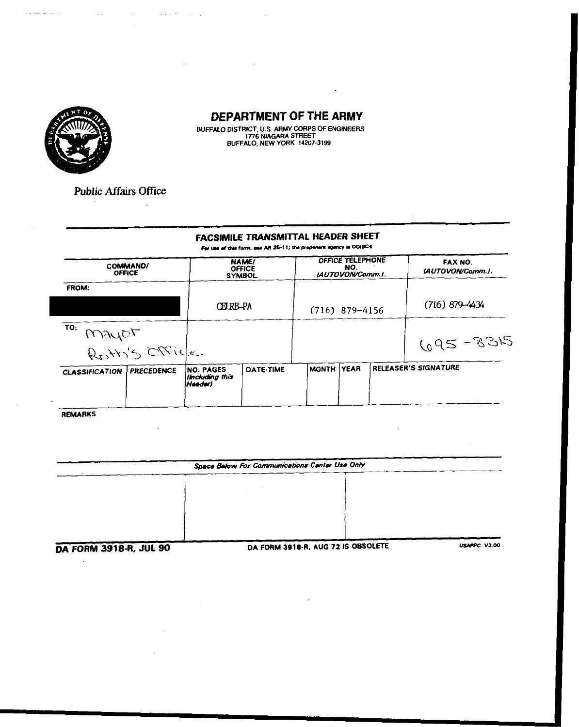

 $\sim 1000$ 

 $\sim 10^7$ 

 $\sim$  100 km s  $^{-1}$  and  $\sim$ 

 $\bar{\mathcal{A}}$  is a constraint of  $\mathcal{A}$ 

## DEPARTMENT OF THE ARMY

J.

BUFFALO DISTRICT, U.S. ARMY CORPS OF ENGINEERS<br>1776 NIAGARA STREET<br>BUFFALO, NEW YORK 14207-3199

**Public Affairs Office** 

 $\mathbf{r}$ 

 $\sim$ 

#### FACSIMILE TRANSMITTAL HEADER SHEET

For use of this form, see AR 26-11; the properent agency is ODISC4.

|                       | <b>COMMAND/</b><br><b>OFFICE</b> |                                                 | <b>NAME/</b><br><b>OFFICE</b><br><b>SYMBOL</b> |            | OFFICE TELEPHONE<br>NO.<br>LAUTOVON/Comm.J. | FAX NO.<br>IAUTOVON/Comm.). |
|-----------------------|----------------------------------|-------------------------------------------------|------------------------------------------------|------------|---------------------------------------------|-----------------------------|
| FROM:                 |                                  |                                                 |                                                |            |                                             |                             |
|                       |                                  | CEIRB-PA                                        |                                                |            | $(716)$ 879-4156                            | $(716) 879 - 4434$          |
| TO:<br>mayor          |                                  |                                                 |                                                |            |                                             |                             |
|                       | Roth's Office.                   |                                                 |                                                |            |                                             | $695 - 8315$                |
| <b>CLASSIFICATION</b> | <b>PRECEDENCE</b>                | <b>INO. PAGES</b><br>lincluding this<br>Heeder) | <b>DATE-TIME</b>                               | MONTH YEAR |                                             | RELEASER'S SIGNATURE        |
|                       |                                  |                                                 |                                                |            |                                             |                             |

**REMARKS** 

 $\mathcal{L}_{\mathcal{A}}$ 

|                        | Space Below For Communications Center Use Only |                     |  |  |  |
|------------------------|------------------------------------------------|---------------------|--|--|--|
|                        |                                                |                     |  |  |  |
|                        |                                                |                     |  |  |  |
|                        |                                                |                     |  |  |  |
|                        |                                                |                     |  |  |  |
|                        |                                                |                     |  |  |  |
| DA FORM 3918-R, JUL 90 | DA FORM 3918-R, AUG 72 IS OBSOLETE             | <b>USAPPC V3.00</b> |  |  |  |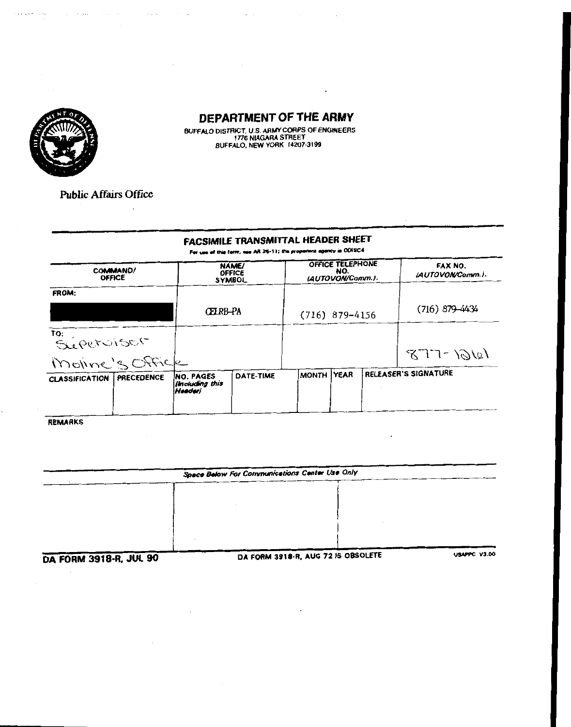

 $\mathcal{H}^{\pm}$  is a constant constant.

## DEPARTMENT OF THE ARMY

BUFFALO DISTRICT, U.S. ARMY CORPS OF ENGINEERS<br>1776 NIAGARA STREET<br>BUFFALO, NEW YORK 14207-3199

**Public Affairs Office** 

 $\ddot{\phantom{a}}$ 

 $\overline{\phantom{a}}$ 

 $\sim$ 

and the same contract of

 $\mathcal{L}(\mathcal{L}(\mathbf{z},\mathbf{z}))$  . The set of  $\mathcal{L}(\mathcal{L}(\mathbf{z},\mathbf{z}))$ 

## **FACSIMILE TRANSMITTAL HEADER SHEET**

For use of this form, see AR 25-11; the propenent agency is ODISC4

| <b>OFFICE</b>                  | COMMAND/          | <b>NAME/</b><br><b>OFFICE</b><br><b>SYMBOL</b> |           | OFFICE TELEPHONE<br>NO.<br>(AUTOVON/Comm.). |  |  | FAX NO.<br>LAUTOVON/Comm.). |
|--------------------------------|-------------------|------------------------------------------------|-----------|---------------------------------------------|--|--|-----------------------------|
| <b>FROM:</b>                   |                   | CFIRB-PA                                       |           | $(716)$ 879-4156                            |  |  | $(716)$ 879-4434            |
| TO: PETUISOF<br>Moine's Office |                   |                                                |           |                                             |  |  | $877 - 10101$               |
| <b>CLASSIFICATION</b>          | <b>PRECEDENCE</b> | <b>NO. PAGES</b><br>lincluding this<br>Heeder) | DATE-TIME | MONTH YEAR                                  |  |  | RELEASER'S SIGNATURE        |

**REMARKS** 

|                              | Space Below For Communications Center Use Only |  |              |  |  |
|------------------------------|------------------------------------------------|--|--------------|--|--|
|                              |                                                |  |              |  |  |
|                              |                                                |  |              |  |  |
|                              |                                                |  |              |  |  |
|                              |                                                |  |              |  |  |
| $\cdots$<br>_______ <b>_</b> | BA COBIL 2010 D. AUG 72 IS ORSOLETE            |  | USAPPC V3.00 |  |  |

DA FORM 3918-R, JUL 90

 $\mathcal{A}$ 

DA FORM 3918-R, AUG 72 IS OBSOLETE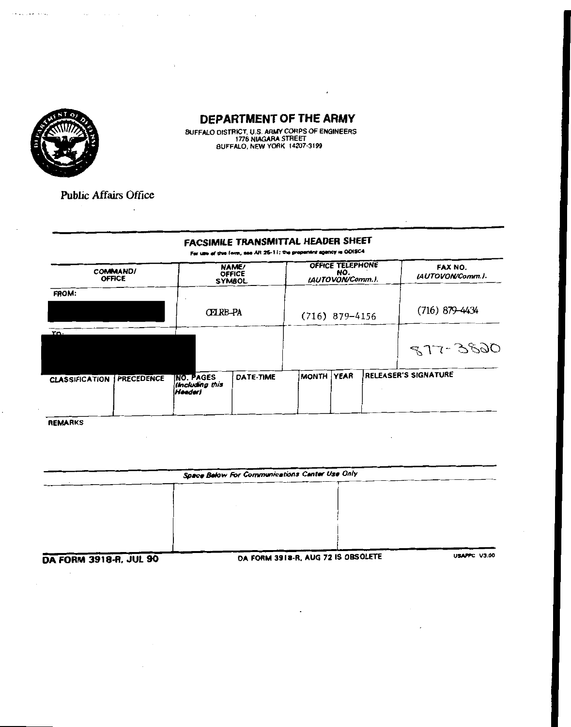

 $\alpha$  is a constant vector  $\alpha$ 

## DEPARTMENT OF THE ARMY

BUFFALO DISTRICT, U.S. ARMY CORPS OF ENGINEERS<br>1776 NIAGARA STREET<br>BUFFALO, NEW YORK 14207-3199

**Public Affairs Office** 

 $\ddot{\phantom{a}}$ 

 $\cdot$ 

 $\mathcal{A}(\mathcal{A})$  and  $\mathcal{A}(\mathcal{A})$  and  $\mathcal{A}(\mathcal{A})$ 

 $\sim$ 

#### **FACSIMILE TRANSMITTAL HEADER SHEET**

For use of this form, see AR 25-11; the propenent agency is ODISC4

| <b>COMMAND/</b><br><b>OFFICE</b> |                   |                                                       | <b>NAME/</b><br><b>OFFICE</b><br><b>SYMBOL</b> |                  | OFFICE TELEPHONE<br>NO.<br>(AUTOVON/Comm.). |  | FAX NO.<br>(AUTOVON/Comm.). |
|----------------------------------|-------------------|-------------------------------------------------------|------------------------------------------------|------------------|---------------------------------------------|--|-----------------------------|
| FROM:                            |                   | <b>CELRB-PA</b>                                       |                                                | $(716)$ 879-4156 |                                             |  | $(716)$ 879-4434            |
| τη.                              |                   |                                                       |                                                |                  |                                             |  | 877-3820                    |
| <b>CLASSIFICATION</b>            | <b>PRECEDENCE</b> | <b>INO. PAGES</b><br>(Including this<br><b>Header</b> | DATE-TIME                                      | MONTH YEAR       |                                             |  | <b>RELEASER'S SIGNATURE</b> |

**REMARKS** 

| Space Below For Communications Center Use Only |  |                                                                                                                                                                                                                                                                                                                                                                             |  |  |
|------------------------------------------------|--|-----------------------------------------------------------------------------------------------------------------------------------------------------------------------------------------------------------------------------------------------------------------------------------------------------------------------------------------------------------------------------|--|--|
|                                                |  |                                                                                                                                                                                                                                                                                                                                                                             |  |  |
|                                                |  |                                                                                                                                                                                                                                                                                                                                                                             |  |  |
|                                                |  |                                                                                                                                                                                                                                                                                                                                                                             |  |  |
|                                                |  |                                                                                                                                                                                                                                                                                                                                                                             |  |  |
|                                                |  |                                                                                                                                                                                                                                                                                                                                                                             |  |  |
|                                                |  | $\overline{a}$ , $\overline{a}$ , $\overline{a}$ , $\overline{a}$ , $\overline{a}$ , $\overline{a}$ , $\overline{a}$ , $\overline{a}$ , $\overline{a}$ , $\overline{a}$ , $\overline{a}$ , $\overline{a}$ , $\overline{a}$ , $\overline{a}$ , $\overline{a}$ , $\overline{a}$ , $\overline{a}$ , $\overline{a}$ , $\overline{a}$ , $\overline{a}$ ,<br><b>1104000-11900</b> |  |  |

**DA FORM 3918-R, JUL 90** 

 $\cdot$ 

DA FORM 3918-R, AUG 72 IS OBSOLETE

PPC V3.00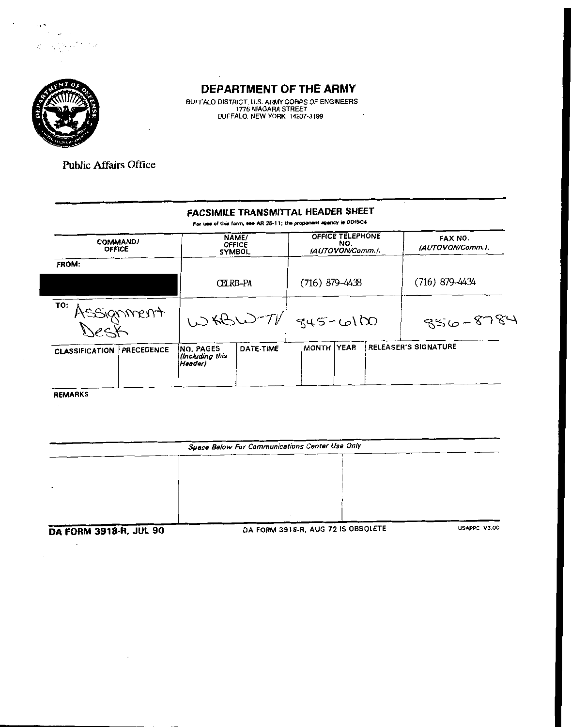

 $\sim$   $^{-1}$ 

t oldi.

 $\langle \cdot \rangle_{\mathcal{F}_i}$ 

 $\sim$ 

## DEPARTMENT OF THE ARMY

BUFFALO DISTRICT, U.S. ARMY CORPS OF ENGINEERS<br>1776 NIAGARA STREET<br>BUFFALO, NEW YORK 14207-3199  $\bar{\mathcal{A}}$ 

Public Affairs Office

## FACSIMILE TRANSMITTAL HEADER SHEET

For use of this form, see AR 26-11; the proponent agency is ODISC4

| COMMAND/<br><b>OFFICE</b>                  | NAME/<br><b>OFFICE</b><br><b>SYMBOL</b>  |           | OFFICE TELEPHONE<br>NO.<br>(AUTOVON/Comm.). |             |  | FAX NO.<br>(AUTOVON/Comm.). |
|--------------------------------------------|------------------------------------------|-----------|---------------------------------------------|-------------|--|-----------------------------|
| FROM:                                      |                                          |           |                                             |             |  |                             |
|                                            | CEIRB-PA                                 |           | (716) 879-4438                              |             |  | (716) 879–4434              |
| TO: Assignment                             |                                          |           | $100 - 70$ $945 - 6100$                     |             |  | $856 - 8784$                |
| <b>PRECEDENCE</b><br><b>CLASSIFICATION</b> | INO. PAGES<br>lincluding this<br>Header) | DATE-TIME | <b>MONTH</b>                                | <b>YEAR</b> |  | <b>RELEASER'S SIGNATURE</b> |

**REMARKS** 

 $\sim$   $\sim$ 

 $\mathcal{A}^{\mathcal{A}}$ 

| Space Below For Communications Center Use Only |                                    |              |  |  |
|------------------------------------------------|------------------------------------|--------------|--|--|
|                                                |                                    |              |  |  |
|                                                |                                    |              |  |  |
|                                                |                                    |              |  |  |
|                                                |                                    |              |  |  |
| <b>DA FORM 3918-R, JUL 90</b>                  | DA FORM 3918-R, AUG 72 IS OBSOLETE | USAPPC V3.00 |  |  |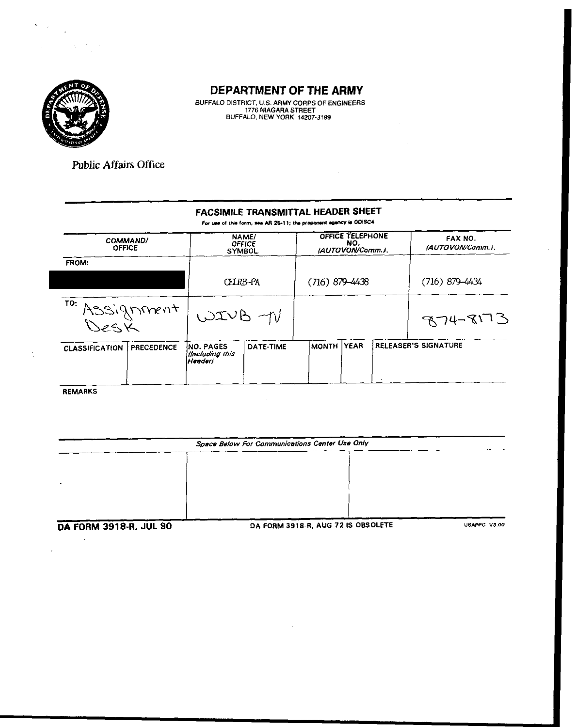

**BUFFALO DISTRICT, U.S. ARMY CORPS OF ENGINEERS 1776 NIAGARA STREET BUFFALO. NEW YORK 14207-3199** 

**Public Affairs Office** 

#### **FACSIMILE TRANSMITTAL HEADER SHEET**

For use of this form, see AR 26-11; the proponent agency is ODISC4

| <b>COMMAND/</b><br><b>OFFICE</b> |                                                  | NAME/<br><b>OFFICE</b><br><b>SYMBOL</b> |                    | OFFICE TELEPHONE<br>NO.<br>(AUTOVON/Comm.). | FAX NO.<br>(AUTOVON/Comm.). |
|----------------------------------|--------------------------------------------------|-----------------------------------------|--------------------|---------------------------------------------|-----------------------------|
| <b>FROM:</b>                     |                                                  |                                         |                    |                                             |                             |
|                                  |                                                  | CELRB-PA                                | $(716) 879 - 4438$ |                                             | $(716)$ 879-4434            |
| TO: Assignment                   |                                                  | WIVB-1V                                 |                    |                                             | $874 - 8173$                |
| <b>CLASSIFICATION</b>            | <b>NO. PAGES</b><br><b>PRECEDENCE</b><br>Header) | DATE-TIME<br>(Including this            | IMONTH I           | <b>YEAR</b>                                 | RELEASER'S SIGNATURE        |

**REMARKS** 

 $\sim 10^7$ 

÷

| Space Below For Communications Center Use Only |                                    |              |  |  |  |
|------------------------------------------------|------------------------------------|--------------|--|--|--|
|                                                |                                    |              |  |  |  |
|                                                |                                    |              |  |  |  |
|                                                |                                    |              |  |  |  |
|                                                |                                    |              |  |  |  |
| DA FORM 3918-R, JUL 90                         | DA FORM 3918-R, AUG 72 IS OBSOLETE | USAPPC V3.00 |  |  |  |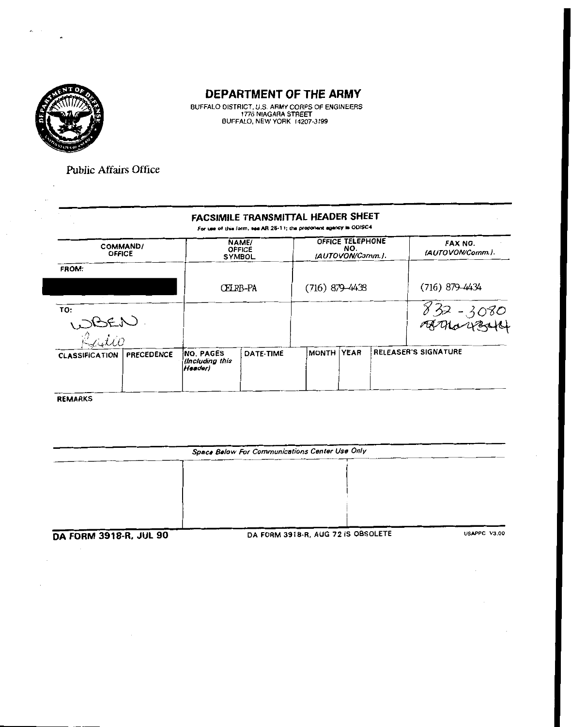

BUFFALO DISTRICT, U.S. ARMY CORPS OF ENGINEERS<br>1776 NIAGARA STREET<br>BUFFALO, NEW YORK 14207-3199

**Public Affairs Office** 

#### FACSIMILE TRANSMITTAL HEADER SHEET

For use of this form, see AR 25-11; the proponent agency is ODISC4.

| COMMAND/<br><b>OFFICE</b> |            |                                                | NAME/<br><b>OFFICE</b><br><b>SYMBOL</b> |                  | <b>OFFICE TELEPHONE</b><br>NO.<br>(AUTOVON/Comm.). | FAX NO.<br>(AUTOVON/Comm.). |
|---------------------------|------------|------------------------------------------------|-----------------------------------------|------------------|----------------------------------------------------|-----------------------------|
| FROM:                     |            |                                                |                                         |                  |                                                    |                             |
|                           |            | CFI RB-PA                                      |                                         | $(716)$ 879-4438 |                                                    | $(716)$ 879-4434            |
| TO:<br>WBEN<br>Railio     |            |                                                |                                         |                  |                                                    | $832 - 3080$<br>FETHALLES   |
| <b>CLASSIFICATION</b>     | PRECEDENCE | <b>NO. PAGES</b><br>llncluding this<br>Header) | DATE-TIME                               | Imonth I         | YEAR                                               | <b>RELEASER'S SIGNATURE</b> |

REMARKS

| Space Below For Communications Center Use Only |                                    |              |  |  |
|------------------------------------------------|------------------------------------|--------------|--|--|
|                                                |                                    |              |  |  |
|                                                |                                    |              |  |  |
|                                                |                                    |              |  |  |
|                                                |                                    |              |  |  |
|                                                |                                    |              |  |  |
| DA FORM 3918-R, JUL 90                         | DA FORM 3918-R, AUG 72 IS OBSOLETE | USAPPC V3.00 |  |  |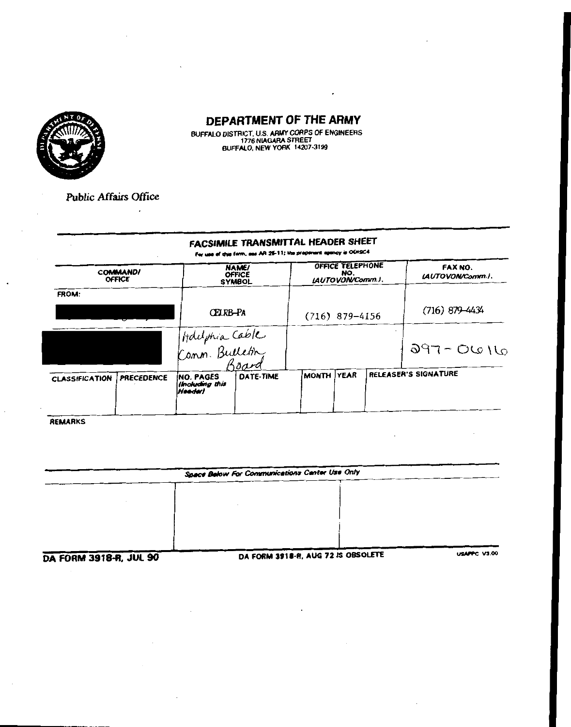

BUFFALO DISTRICT, U.S. ARMY CORPS OF ENGINEERS<br>1776 NIAGARA STREET<br>BUFFALO, NEW YORK 14207-3199

Public Affairs Office

 $\overline{\phantom{a}}$ 

#### FACSIMILE TRANSMITTAL HEADER SHEET For use of this form, see AR 26-11; the properant agency is ODISC4

|                       | <b>COMMAND/</b><br><b>OFFICE</b> |                                                 | NAME/<br><b>OFFICE</b><br><b>SYMBOL</b> |                  | OFFICE TELEPHONE<br>NO.<br>(AUTOVON/Comm.). |  | FAX NO.<br>LAUTOVON/Comm.). |
|-----------------------|----------------------------------|-------------------------------------------------|-----------------------------------------|------------------|---------------------------------------------|--|-----------------------------|
| <b>FROM:</b>          |                                  | CFIRB-PA                                        |                                         | $(716)$ 879-4156 |                                             |  | $(716) 879 - 4434$          |
|                       |                                  | Holiphia Cable<br>Comm. Bulletin                |                                         |                  |                                             |  | $011 - 0616$                |
| <b>CLASSIFICATION</b> | <b>PRECEDENCE</b>                | <b>INO. PAGES</b><br>lincluding this<br>Heeder) | <b>DATE-TIME</b>                        | <b>MONTH</b>     | <b>YEAR</b>                                 |  | RELEASER'S SIGNATURE        |

REMARKS

| Space Below For Communications Center Use Only |  |                    |  |  |
|------------------------------------------------|--|--------------------|--|--|
|                                                |  |                    |  |  |
|                                                |  |                    |  |  |
|                                                |  |                    |  |  |
|                                                |  |                    |  |  |
|                                                |  |                    |  |  |
|                                                |  | <b>URABBC V100</b> |  |  |

**DA FORM 3918-R, JUL 90** 

DA FORM 3918-R, AUG 72 IS OBSOLETE

PPC V3.00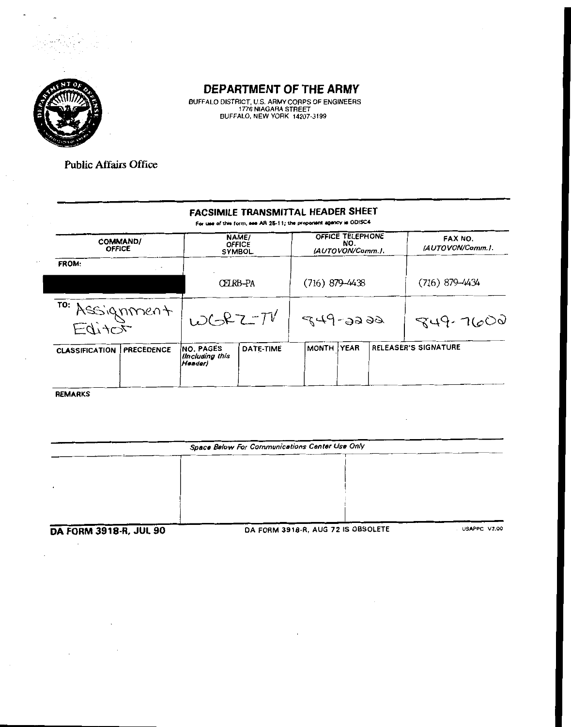

BUFFALO DISTRICT, U.S. ARMY CORPS OF ENGINEERS<br>1776 NIAGARA STREET<br>BUFFALO, NEW YORK 14207-3199

**Public Affairs Office** 

#### FACSIMILE TRANSMITTAL HEADER SHEET

For use of this form, see AR 25-11; the proponent agency is ODISC4

| <b>COMMAND/</b><br><b>OFFICE</b> |                   |                                                | NAME/<br><b>OFFICE</b><br><b>SYMBOL</b> |                  | OFFICE TELEPHONE<br>NO.<br>(AUTOVON/Comm.). | FAX NO.<br>(AUTOVON/Comm.). |
|----------------------------------|-------------------|------------------------------------------------|-----------------------------------------|------------------|---------------------------------------------|-----------------------------|
| <b>FROM:</b>                     |                   |                                                |                                         |                  |                                             |                             |
|                                  |                   | CEIRB-PA                                       |                                         | $(716)$ 879-4438 |                                             | $(716)$ 879-4434            |
| TO: Assignment                   |                   | $WCRZ-TV$                                      |                                         | $849 - 2299$     |                                             | $949 - 7600$                |
| <b>CLASSIFICATION</b>            | <b>PRECEDENCE</b> | INO. PAGES<br><b>Uncluding</b> this<br>Headerl | DATE-TIME                               | MONTH !          | <b>YEAR</b>                                 | RELEASER'S SIGNATURE        |
|                                  |                   |                                                |                                         |                  |                                             |                             |

REMARKS

Space Below For Communications Center Use Only DA FORM 3918-R, AUG 72 IS OBSOLETE USAPPC V3.00 **DA FORM 3918-R, JUL 90**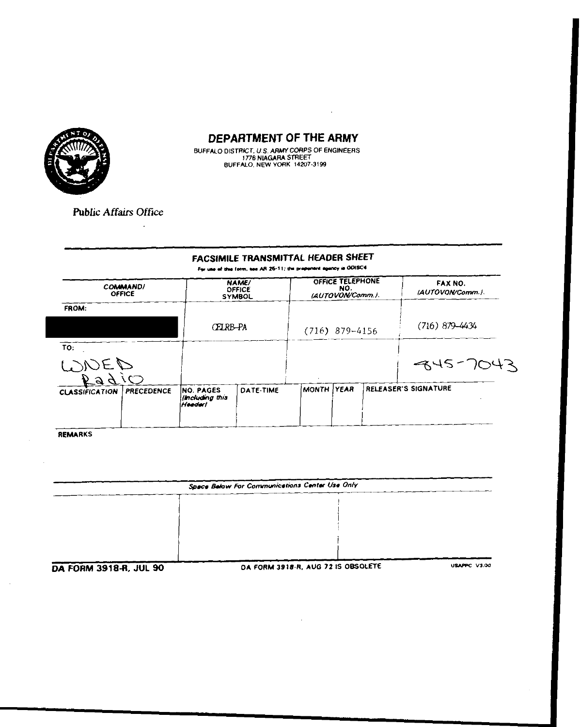

 $\mathcal{A}^{\mathcal{A}}$ 

BUFFALO DISTRICT, U.S. ARMY CORPS OF ENGINEERS<br>1776 NIAGARA STREET<br>BUFFALO, NEW YORK 14207-3199

**Public Affairs Office** 

 $\mathcal{A}$ 

## FACSIMILE TRANSMITTAL HEADER SHEET

For use of this form, tee AR 26-11; the preparent agency is ODISC4

| <b>COMMAND!</b><br><b>OFFICE</b>           |                                                | <b>NAME/</b><br>OFFICE<br><b>SYMBOL</b> |                  | OFFICE TELEPHONE<br>NO.<br>(AUTOVON/Comm.). |  | FAX NO.<br>(AUTOVON/Comm.). |
|--------------------------------------------|------------------------------------------------|-----------------------------------------|------------------|---------------------------------------------|--|-----------------------------|
| FROM:                                      |                                                |                                         |                  |                                             |  |                             |
|                                            | CELRB-PA                                       |                                         | $(716)$ 879-4156 |                                             |  | $(716) 879 - 4434$          |
| ΤО.                                        |                                                |                                         |                  |                                             |  |                             |
| DIDED<br>Padio                             |                                                |                                         |                  |                                             |  | $-845 - 7043$               |
|                                            |                                                |                                         |                  |                                             |  |                             |
| <b>PRECEDENCE</b><br><b>CLASSIFICATION</b> | <b>INO. PAGES</b><br>Including this<br>Headerl | DATE-TIME                               | MONTH            | <b>TYEAR</b>                                |  | <b>RELEASER'S SIGNATURE</b> |
|                                            |                                                |                                         |                  |                                             |  |                             |

REMARKS

 $\sim 10^7$ 

 $\sim$ 

| Space Below For Communications Center Use Only |  |  |  |  |  |  |  |
|------------------------------------------------|--|--|--|--|--|--|--|
|                                                |  |  |  |  |  |  |  |
|                                                |  |  |  |  |  |  |  |
|                                                |  |  |  |  |  |  |  |
|                                                |  |  |  |  |  |  |  |
|                                                |  |  |  |  |  |  |  |
|                                                |  |  |  |  |  |  |  |

DA FORM 3918-R, JUL 90

DA FORM 3918-R, AUG 72 IS OBSOLETE

**USAPPC V3.00**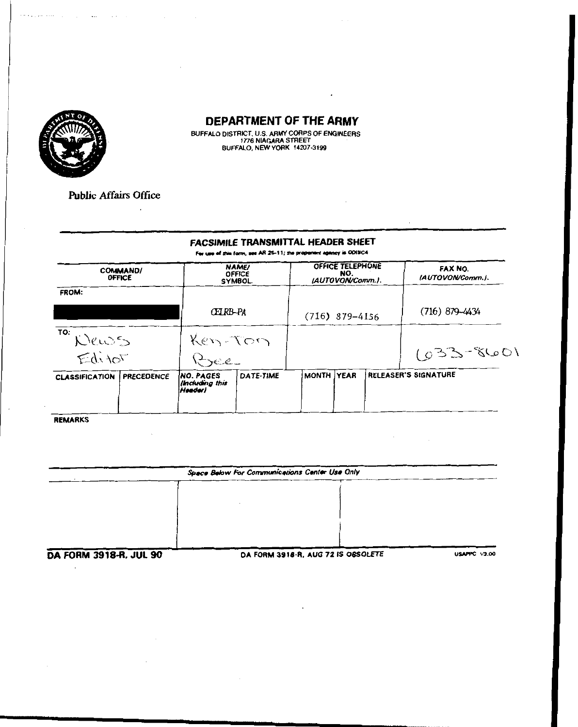

 $\sim$ 

**Sales** 

التمايد للكراني والأنجاء

#### DEPARTMENT OF THE ARMY

 $\cdot$ 

BUFFALO DISTRICT, U.S. ARMY CORPS OF ENGINEERS<br>1776 NIAGARA STREET<br>BUFFALO, NEW YORK 14207-3199

**Public Affairs Office** 

 $\ddot{\phantom{a}}$ 

## FACSIMILE TRANSMITTAL HEADER SHEET

Fer use of this form, see AR 25-11; the proponent agency is ODISC4

|                       | <b>COMMAND/</b><br><b>OFFICE</b> | <b>NAME/</b><br><b>OFFICE</b><br><b>SYMBOL</b> |           | OFFICE TELEPHONE<br>NO.<br>(AUTOVON/Comm.). |  |  | FAX NO.<br>(AUTOVON/Comm.). |
|-----------------------|----------------------------------|------------------------------------------------|-----------|---------------------------------------------|--|--|-----------------------------|
| <b>FROM:</b>          |                                  |                                                |           |                                             |  |  |                             |
|                       |                                  | CETRB-PA                                       |           | $(716)$ 879-4156                            |  |  | $(716) 879 - 4434$          |
| TO: Wens              |                                  | Ken-Ton                                        |           |                                             |  |  |                             |
| Editor                |                                  | Bee                                            |           |                                             |  |  | $1092 - 2601$               |
| <b>CLASSIFICATION</b> | <b>PRECEDENCE</b>                | INO. PAGES<br>Including this<br>Header)        | DATE-TIME | MONTH YEAR                                  |  |  | RELEASER'S SIGNATURE        |

**REMARKS** 

| Space Below For Communications Center Use Only |  |  |  |  |  |  |  |
|------------------------------------------------|--|--|--|--|--|--|--|
|                                                |  |  |  |  |  |  |  |
|                                                |  |  |  |  |  |  |  |
|                                                |  |  |  |  |  |  |  |
|                                                |  |  |  |  |  |  |  |
|                                                |  |  |  |  |  |  |  |

**DA FORM 3918-R, JUL 90** 

DA FORM 3918-R, AUG 72 IS OBSOLETE

**USAPPC V3.00** 

 $\Delta \sim 10^4$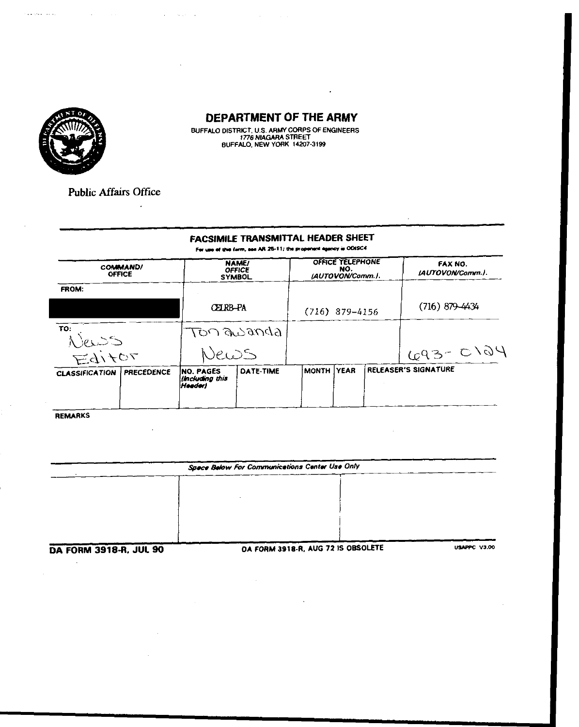

 $\cdot$ 

BUFFALO DISTRICT, U.S. ARMY CORPS OF ENGINEERS<br>1776 NIAGARA STREET<br>BUFFALO, NEW YORK 14207-3199

**Public Affairs Office** 

 $\mathcal{L}$ 

. The contract of the set of the set of the set of the set of the set of the set of the set of the set of the set of the set of the set of the set of the set of the set of the set of the set of the set of the set of the s

#### FACSIMILE TRANSMITTAL HEADER SHEET

For use of this form, see AR 25-11; the proponent agency is ODISC4

| <b>COMMAND/</b><br><b>OFFICE</b> |                   | <b>NAME/</b><br><b>OFFICE</b><br><b>SYMBOL</b> |           | OFFICE TELEPHONE<br>NO.<br>(AUTOVON/Comm.). |  |  | FAX NO.<br>LAUTOVON/Comm.). |
|----------------------------------|-------------------|------------------------------------------------|-----------|---------------------------------------------|--|--|-----------------------------|
| FROM:                            |                   |                                                |           |                                             |  |  |                             |
|                                  |                   | CFJ RB-PA                                      |           | $(716)$ 879-4156                            |  |  | $(716) 879 - 4434$          |
| TO.                              |                   | BODECO POT                                     |           |                                             |  |  |                             |
| News<br>Editor                   |                   | News                                           |           |                                             |  |  | G93-C124                    |
| <b>CLASSIFICATION</b>            | <b>PRECEDENCE</b> | <b>INO. PAGES</b><br>Imcluding this<br> Hoedor | DATE-TIME | MONTH YEAR                                  |  |  | RELEASER'S SIGNATURE        |

**REMARKS** 

 $\bar{\mathbf{r}}$ 

| Space Balow For Communications Center Use Only |                                   |              |  |  |  |  |  |  |
|------------------------------------------------|-----------------------------------|--------------|--|--|--|--|--|--|
|                                                |                                   |              |  |  |  |  |  |  |
|                                                |                                   |              |  |  |  |  |  |  |
|                                                |                                   |              |  |  |  |  |  |  |
|                                                |                                   |              |  |  |  |  |  |  |
|                                                |                                   |              |  |  |  |  |  |  |
| DA FORM 2010 D. ILII. GO                       | DA CORM 2010 R AUG 72 IS ORSOLETE | USAPPC V3.00 |  |  |  |  |  |  |

DA FORM 3918-R, JUL 90

. FORM 3918-R, AUG 72 IS OBSOLETE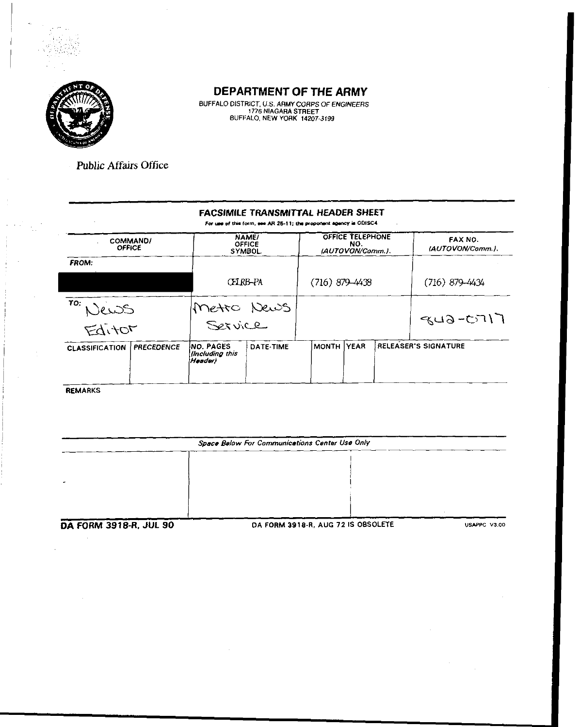

BUFFALO DISTRICT, U.S. ARMY CORPS OF ENGINEERS<br>1776 NIAGARA STREET<br>BUFFALO, NEW YORK 14207-3199

**Public Affairs Office** 

#### FACSIMILE TRANSMITTAL HEADER SHEET

For use of this form, see AR 26-11; the proponent agency is ODISC4.

|                       | NAME/<br><b>COMMAND/</b><br>OFFICE<br><b>OFFICE</b><br><b>SYMBOL</b> |                                         | OFFICE TELEPHONE<br>NO.<br>(AUTOVON/Comm.). |                   |  | FAX NO.<br>(AUTOVON/Comm.). |                             |
|-----------------------|----------------------------------------------------------------------|-----------------------------------------|---------------------------------------------|-------------------|--|-----------------------------|-----------------------------|
| <b>FROM:</b>          |                                                                      |                                         |                                             |                   |  |                             |                             |
|                       |                                                                      | CELRB-PA                                |                                             | $(716)$ 879-4438  |  |                             | $(716)$ 879-4434            |
| TO:                   | Jews                                                                 |                                         | Metro News                                  |                   |  |                             |                             |
| Editor                |                                                                      |                                         |                                             |                   |  |                             | $843 - 0717$                |
| <b>CLASSIFICATION</b> | <b>PRECEDENCE</b>                                                    | INO PAGES<br>lincluding this<br>Header) | DATE TIME                                   | <b>MONTH YEAR</b> |  |                             | <b>RELEASER'S SIGNATURE</b> |

**REMARKS** 

Space Below For Communications Center Use Only **DA FORM 3918-R, JUL 90** DA FORM 3918-R, AUG 72 IS OBSOLETE USAPPC V3.00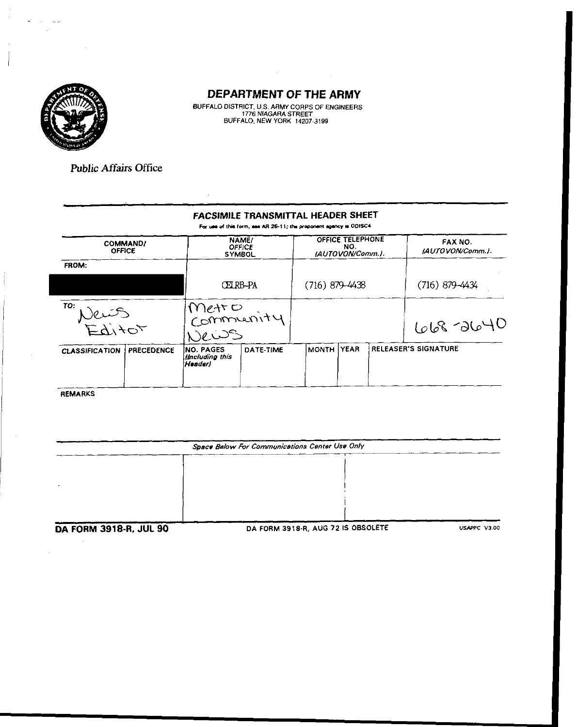

BUFFALO DISTRICT, U.S. ARMY CORPS OF ENGINEERS<br>1776 NIAGARA STREET<br>BUFFALO, NEW YORK 14207-3199

**Public Affairs Office** 

#### FACSIMILE TRANSMITTAL HEADER SHEET

For use of this form, see AR 26-11; the proponent agency is ODISC4.

| <b>COMMAND/</b><br><b>OFFICE</b> |                   | NAME/<br><b>OFFICE</b><br><b>SYMBOL</b> |           | OFFICE TELEPHONE<br>NO.<br>(AUTOVON/Comm.). |  |  | FAX NO.<br>(AUTOVON/Comm.). |
|----------------------------------|-------------------|-----------------------------------------|-----------|---------------------------------------------|--|--|-----------------------------|
| FROM.                            |                   |                                         |           |                                             |  |  |                             |
|                                  |                   | CEIRB-PA                                |           | $(716)$ 879-4438                            |  |  | $(716)$ 879-4434            |
| TO:<br>Vents<br>Editor           |                   | metro<br>Community<br>Jews              |           |                                             |  |  | 668-2640                    |
| <b>CLASSIFICATION</b>            | <b>PRECEDENCE</b> | INO. PAGES<br>Imcluding this<br>Header) | DATE-TIME | MONTH   YEAR                                |  |  | <b>RELEASER'S SIGNATURE</b> |

**REMARKS** 

J.

| Space Below For Communications Center Use Only |                                    |              |  |  |  |  |  |  |
|------------------------------------------------|------------------------------------|--------------|--|--|--|--|--|--|
|                                                |                                    |              |  |  |  |  |  |  |
|                                                |                                    |              |  |  |  |  |  |  |
|                                                |                                    |              |  |  |  |  |  |  |
|                                                |                                    |              |  |  |  |  |  |  |
| <b>DA FORM 3918-R, JUL 90</b>                  | DA FORM 3918-R, AUG 72 IS OBSOLETE | USAPPC V3.00 |  |  |  |  |  |  |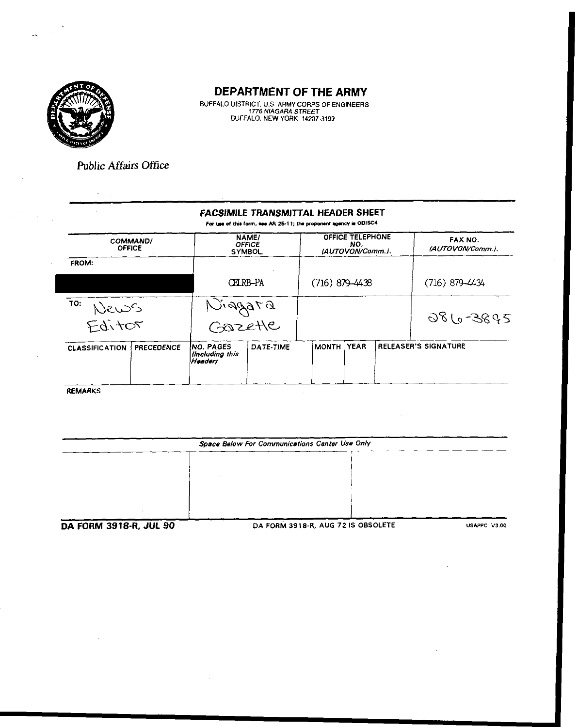

BUFFALO DISTRICT, U.S. ARMY CORPS OF ENGINEERS<br>1776 NIAGARA STREET<br>BUFFALO, NEW YORK 14207-3199

**Public Affairs Office** 

#### **FACSIMILE TRANSMITTAL HEADER SHEET** For use of this form, see AR 25-11; the proponent agency is ODISC4

| <b>COMMAND/</b><br><b>OFFICE</b> |                   | NAME/<br><b>OFFICE</b><br><b>SYMBOL</b>         |                   | <b>OFFICE TELEPHONE</b><br>NO.<br>(AUTOVON/Comm.). |  |  | FAX NO.<br>(AUTOVON/Comm.). |
|----------------------------------|-------------------|-------------------------------------------------|-------------------|----------------------------------------------------|--|--|-----------------------------|
| <b>FROM:</b>                     |                   |                                                 |                   |                                                    |  |  |                             |
|                                  |                   | <b>CERB-PA</b>                                  |                   | $(716) 879 - 4438$                                 |  |  | $(716) 879 - 4434$          |
| TO:<br>News<br>Editor            |                   |                                                 | DTGRPIJ<br>GOZEHE |                                                    |  |  | 086-3895                    |
| <b>CLASSIFICATION</b>            | <b>PRECEDENCE</b> | INO. PAGES<br><b>Ilncluding</b> this<br>Header) | DATE-TIME         | MONTH YEAR                                         |  |  | <b>RELEASER'S SIGNATURE</b> |

**REMARKS** 

 $\Delta \sim 10^4$ 

| Space Below For Communications Center Use Only |                                    |              |  |  |  |  |  |  |
|------------------------------------------------|------------------------------------|--------------|--|--|--|--|--|--|
|                                                |                                    |              |  |  |  |  |  |  |
|                                                |                                    |              |  |  |  |  |  |  |
|                                                |                                    |              |  |  |  |  |  |  |
|                                                |                                    |              |  |  |  |  |  |  |
|                                                |                                    |              |  |  |  |  |  |  |
| DA FORM 3918-R, JUL 90                         | DA FORM 3918-R, AUG 72 IS OBSOLETE | USAPPC V3.00 |  |  |  |  |  |  |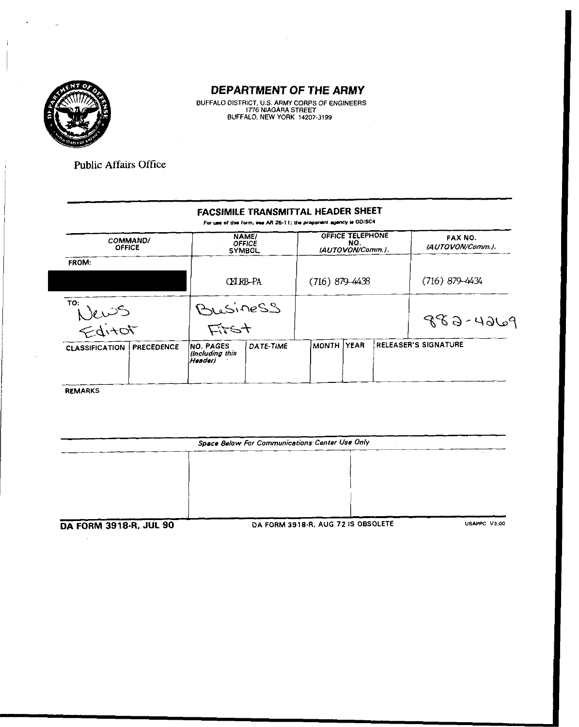

BUFFALO DISTRICT, U.S. ARMY CORPS OF ENGINEERS<br>1776 NIAGARA STREET<br>BUFFALO, NEW YORK 14207-3199

**Public Affairs Office** 

#### FACSIMILE TRANSMITTAL HEADER SHEET

For use of this form, see AR 25-11; the proponent agency is ODISC4

| <b>COMMAND/</b><br><b>OFFICE</b>           | NAME/<br><b>OFFICE</b><br><b>SYMBOL</b>  |                  | OFFICE TELEPHONE<br>NO.<br>(AUTOVON/Comm.). |             |  | <b>FAX NO.</b><br>(AUTOVON/Comm.). |  |
|--------------------------------------------|------------------------------------------|------------------|---------------------------------------------|-------------|--|------------------------------------|--|
| FROM:                                      |                                          |                  |                                             |             |  |                                    |  |
|                                            | CEIRB-PA                                 |                  | $(716) 879 - 4438$                          |             |  | (716) 879–4434                     |  |
| TO:<br>News<br>Editor                      | Business<br>Fitst                        |                  |                                             |             |  | $9964 - 688$                       |  |
|                                            |                                          |                  |                                             |             |  | <b>RELEASER'S SIGNATURE</b>        |  |
| <b>PRECEDENCE</b><br><b>CLASSIFICATION</b> | INO. PAGES<br>lincluding this<br>Headerl | <b>DATE-TIME</b> | <b>MONTH</b>                                | <b>YEAR</b> |  |                                    |  |

**REMARKS** 

| Space Below For Communications Center Use Only |                                    |              |  |  |
|------------------------------------------------|------------------------------------|--------------|--|--|
|                                                |                                    |              |  |  |
|                                                |                                    |              |  |  |
|                                                |                                    |              |  |  |
|                                                |                                    |              |  |  |
|                                                |                                    |              |  |  |
| <b>DA COBA 2010-D IIII QO</b>                  | DA FORM 3918-R. AUG 72 IS OBSOLETE | USAPPC V3.00 |  |  |

DA FORM 3918-R, JUL 90

DA FORM 3918-R, AUG 72 IS OBSOL